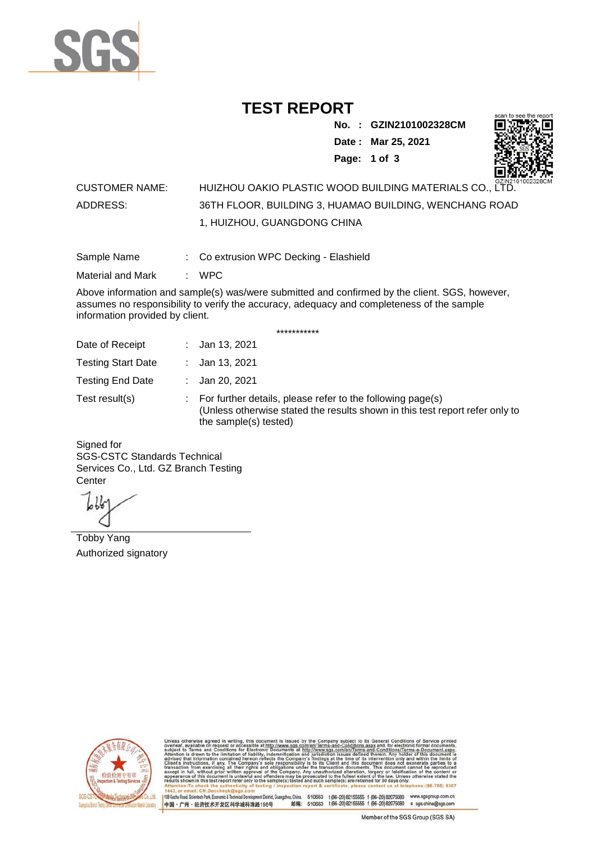

## **TEST REPORT**

**No. : GZIN2101002328CM**

**Date : Mar 25, 2021**



**Page: 1 of 3** 

## CUSTOMER NAME: HUIZHOU OAKIO PLASTIC WOOD BUILDING MATERIALS CO., LTD. ADDRESS: 36TH FLOOR, BUILDING 3, HUAMAO BUILDING, WENCHANG ROAD 1, HUIZHOU, GUANGDONG CHINA

Sample Name : Co extrusion WPC Decking - Elashield

Material and Mark : WPC

Above information and sample(s) was/were submitted and confirmed by the client. SGS, however, assumes no responsibility to verify the accuracy, adequacy and completeness of the sample information provided by client.

\*\*\*\*\*\*\*\*\*\*\*

| Date of Receipt           | : Jan 13, 2021                                                                                                                                                        |
|---------------------------|-----------------------------------------------------------------------------------------------------------------------------------------------------------------------|
| <b>Testing Start Date</b> | : Jan 13, 2021                                                                                                                                                        |
| <b>Testing End Date</b>   | : Jan 20, 2021                                                                                                                                                        |
| Test result(s)            | : For further details, please refer to the following page(s)<br>(Unless otherwise stated the results shown in this test report refer only to<br>the sample(s) tested) |

Signed for SGS-CSTC Standards Technical Services Co., Ltd. GZ Branch Testing **Center** 

Tobby Yang Authorized signatory



510663 t(86-20) 82155555 f (86-20) 82075080 www.sgsgroup.com.cn<br>510663 t(86-20) 82155555 f (86-20) 82075080 e sgs.china@sgs.com 198 Kezhu Road, Scientech Park, Eco nomic & Technical Devel tou, China. ant District G 邮编: 中国·广州·经济技术开发区科学城科珠路198号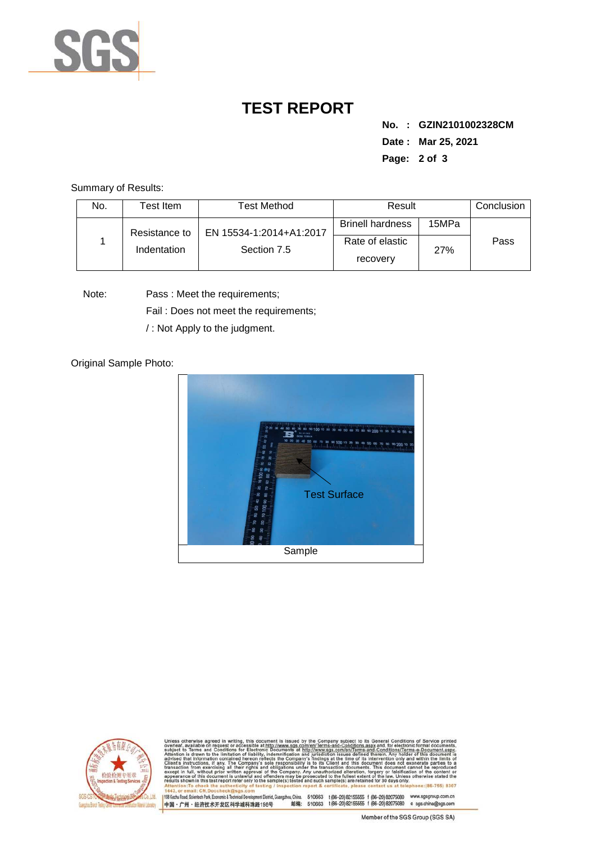

## **TEST REPORT**

**No. : GZIN2101002328CM Date : Mar 25, 2021 Page: 2 of 3** 

Summary of Results:

| No. | Test Item.    | <b>Test Method</b>                     | Result                      |       | Conclusion |
|-----|---------------|----------------------------------------|-----------------------------|-------|------------|
|     | Resistance to | EN 15534-1:2014+A1:2017<br>Section 7.5 | <b>Brinell hardness</b>     | 15MPa |            |
|     | Indentation   |                                        | Rate of elastic<br>recovery | 27%   | Pass       |

Note: Pass : Meet the requirements;

Fail : Does not meet the requirements;

/ : Not Apply to the judgment.

Original Sample Photo:





Conditions/Terms-e-Do<br>rein: Any holder of this nentDistrict,Guangzhou,China. 510663 t (86–20) 82155555 f (86–20) 82075080 www.sgsgroup.com.cn<br>格198号 邮编: 510663 t (86–20) 82155555 f (86–20) 82075080 e sgs.china@sgs.com 198 Kezhu Road, Scientech Park, Economic & Technical Develop 中国·广州·经济技术开发区科学城科珠路198号